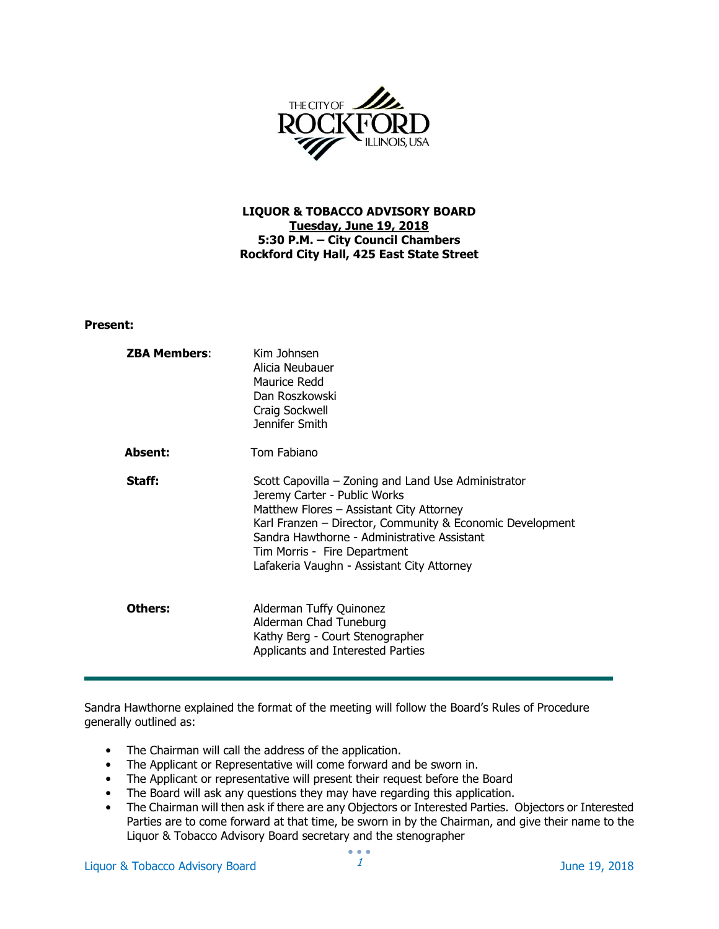

# LIQUOR & TOBACCO ADVISORY BOARD Tuesday, June 19, 2018 5:30 P.M. – City Council Chambers Rockford City Hall, 425 East State Street

### Present:

| <b>ZBA Members:</b> | Kim Johnsen<br>Alicia Neubauer<br>Maurice Redd<br>Dan Roszkowski<br>Craig Sockwell<br>Jennifer Smith                                                                                                                                                                                                                      |
|---------------------|---------------------------------------------------------------------------------------------------------------------------------------------------------------------------------------------------------------------------------------------------------------------------------------------------------------------------|
| <b>Absent:</b>      | Tom Fabiano                                                                                                                                                                                                                                                                                                               |
| Staff:              | Scott Capovilla – Zoning and Land Use Administrator<br>Jeremy Carter - Public Works<br>Matthew Flores – Assistant City Attorney<br>Karl Franzen – Director, Community & Economic Development<br>Sandra Hawthorne - Administrative Assistant<br>Tim Morris - Fire Department<br>Lafakeria Vaughn - Assistant City Attorney |
| Others:             | Alderman Tuffy Quinonez<br>Alderman Chad Tuneburg<br>Kathy Berg - Court Stenographer<br>Applicants and Interested Parties                                                                                                                                                                                                 |

Sandra Hawthorne explained the format of the meeting will follow the Board's Rules of Procedure generally outlined as:

- The Chairman will call the address of the application.
- The Applicant or Representative will come forward and be sworn in.
- The Applicant or representative will present their request before the Board
- The Board will ask any questions they may have regarding this application.
- The Chairman will then ask if there are any Objectors or Interested Parties. Objectors or Interested Parties are to come forward at that time, be sworn in by the Chairman, and give their name to the Liquor & Tobacco Advisory Board secretary and the stenographer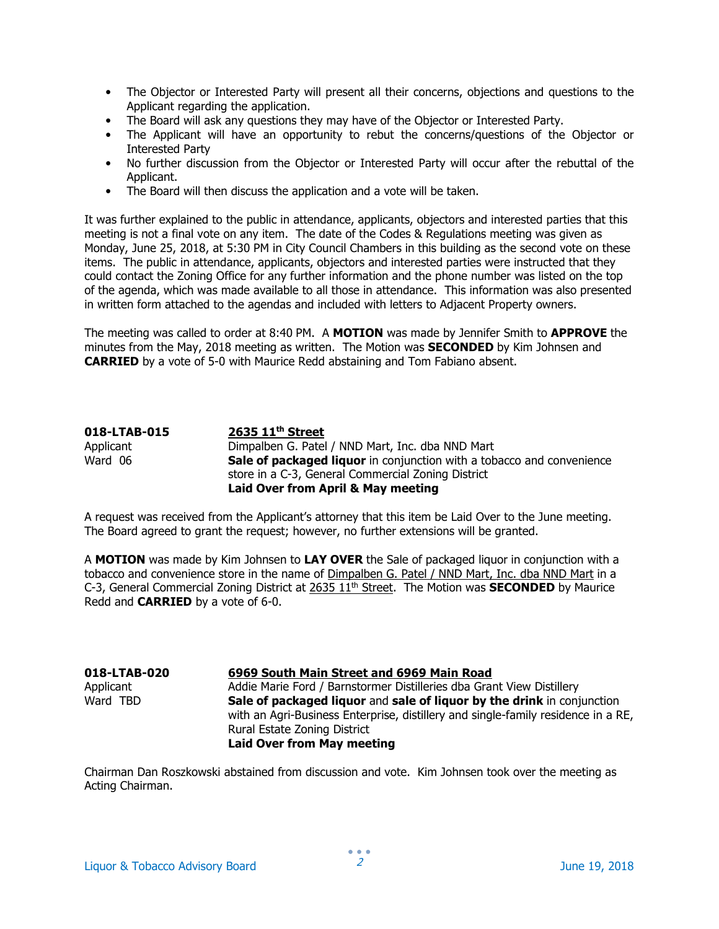- The Objector or Interested Party will present all their concerns, objections and questions to the Applicant regarding the application.
- The Board will ask any questions they may have of the Objector or Interested Party.
- The Applicant will have an opportunity to rebut the concerns/questions of the Objector or Interested Party
- No further discussion from the Objector or Interested Party will occur after the rebuttal of the Applicant.
- The Board will then discuss the application and a vote will be taken.

It was further explained to the public in attendance, applicants, objectors and interested parties that this meeting is not a final vote on any item. The date of the Codes & Regulations meeting was given as Monday, June 25, 2018, at 5:30 PM in City Council Chambers in this building as the second vote on these items. The public in attendance, applicants, objectors and interested parties were instructed that they could contact the Zoning Office for any further information and the phone number was listed on the top of the agenda, which was made available to all those in attendance. This information was also presented in written form attached to the agendas and included with letters to Adjacent Property owners.

The meeting was called to order at 8:40 PM. A MOTION was made by Jennifer Smith to APPROVE the minutes from the May, 2018 meeting as written. The Motion was **SECONDED** by Kim Johnsen and CARRIED by a vote of 5-0 with Maurice Redd abstaining and Tom Fabiano absent.

| 018-LTAB-015 | $2635$ $11th$ Street                                                  |
|--------------|-----------------------------------------------------------------------|
| Applicant    | Dimpalben G. Patel / NND Mart, Inc. dba NND Mart                      |
| Ward 06      | Sale of packaged liquor in conjunction with a tobacco and convenience |
|              | store in a C-3, General Commercial Zoning District                    |
|              | Laid Over from April & May meeting                                    |

A request was received from the Applicant's attorney that this item be Laid Over to the June meeting. The Board agreed to grant the request; however, no further extensions will be granted.

A MOTION was made by Kim Johnsen to LAY OVER the Sale of packaged liquor in conjunction with a tobacco and convenience store in the name of Dimpalben G. Patel / NND Mart, Inc. dba NND Mart in a C-3, General Commercial Zoning District at 2635  $11<sup>th</sup>$  Street. The Motion was **SECONDED** by Maurice Redd and CARRIED by a vote of 6-0.

# 018-LTAB-020 6969 South Main Street and 6969 Main Road

Applicant Addie Marie Ford / Barnstormer Distilleries dba Grant View Distillery Ward TBD **Sale of packaged liquor and sale of liquor by the drink** in conjunction with an Agri-Business Enterprise, distillery and single-family residence in a RE, Rural Estate Zoning District Laid Over from May meeting

Chairman Dan Roszkowski abstained from discussion and vote. Kim Johnsen took over the meeting as Acting Chairman.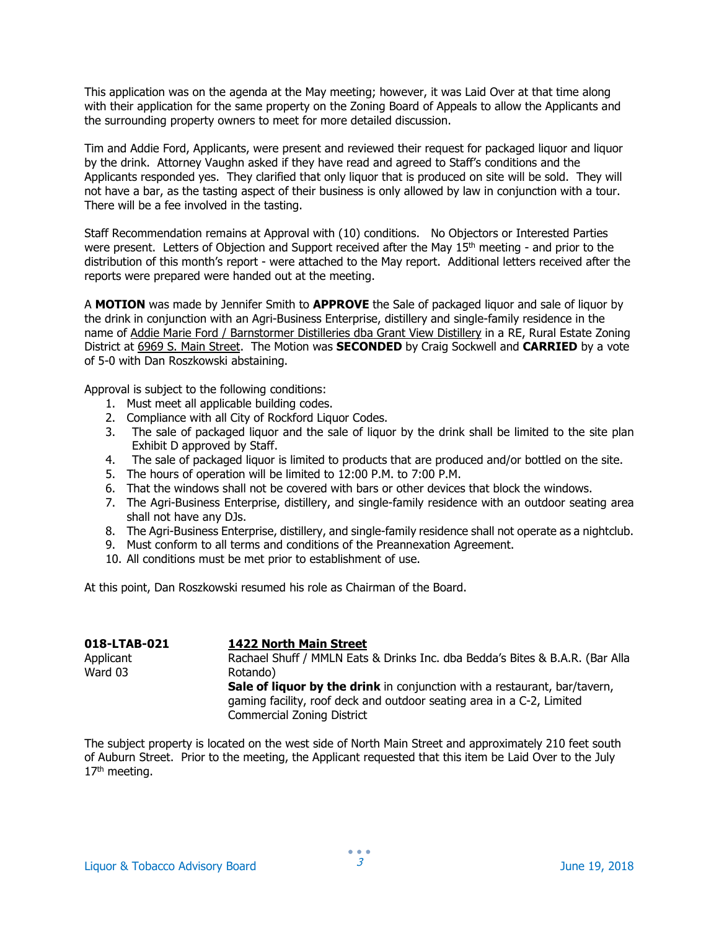This application was on the agenda at the May meeting; however, it was Laid Over at that time along with their application for the same property on the Zoning Board of Appeals to allow the Applicants and the surrounding property owners to meet for more detailed discussion.

Tim and Addie Ford, Applicants, were present and reviewed their request for packaged liquor and liquor by the drink. Attorney Vaughn asked if they have read and agreed to Staff's conditions and the Applicants responded yes. They clarified that only liquor that is produced on site will be sold. They will not have a bar, as the tasting aspect of their business is only allowed by law in conjunction with a tour. There will be a fee involved in the tasting.

Staff Recommendation remains at Approval with (10) conditions. No Objectors or Interested Parties were present. Letters of Objection and Support received after the May 15<sup>th</sup> meeting - and prior to the distribution of this month's report - were attached to the May report. Additional letters received after the reports were prepared were handed out at the meeting.

A MOTION was made by Jennifer Smith to APPROVE the Sale of packaged liquor and sale of liquor by the drink in conjunction with an Agri-Business Enterprise, distillery and single-family residence in the name of Addie Marie Ford / Barnstormer Distilleries dba Grant View Distillery in a RE, Rural Estate Zoning District at 6969 S. Main Street. The Motion was **SECONDED** by Craig Sockwell and **CARRIED** by a vote of 5-0 with Dan Roszkowski abstaining.

Approval is subject to the following conditions:

- 1. Must meet all applicable building codes.
- 2. Compliance with all City of Rockford Liquor Codes.
- 3. The sale of packaged liquor and the sale of liquor by the drink shall be limited to the site plan Exhibit D approved by Staff.
- 4. The sale of packaged liquor is limited to products that are produced and/or bottled on the site.
- 5. The hours of operation will be limited to 12:00 P.M. to 7:00 P.M.
- 6. That the windows shall not be covered with bars or other devices that block the windows.
- 7. The Agri-Business Enterprise, distillery, and single-family residence with an outdoor seating area shall not have any DJs.
- 8. The Agri-Business Enterprise, distillery, and single-family residence shall not operate as a nightclub.
- 9. Must conform to all terms and conditions of the Preannexation Agreement.
- 10. All conditions must be met prior to establishment of use.

At this point, Dan Roszkowski resumed his role as Chairman of the Board.

| 018-LTAB-021 | <b>1422 North Main Street</b>                                                    |
|--------------|----------------------------------------------------------------------------------|
| Applicant    | Rachael Shuff / MMLN Eats & Drinks Inc. dba Bedda's Bites & B.A.R. (Bar Alla     |
| Ward 03      | Rotando)                                                                         |
|              | <b>Sale of liquor by the drink</b> in conjunction with a restaurant, bar/tavern, |
|              | gaming facility, roof deck and outdoor seating area in a C-2, Limited            |
|              | <b>Commercial Zoning District</b>                                                |

The subject property is located on the west side of North Main Street and approximately 210 feet south of Auburn Street. Prior to the meeting, the Applicant requested that this item be Laid Over to the July 17<sup>th</sup> meeting.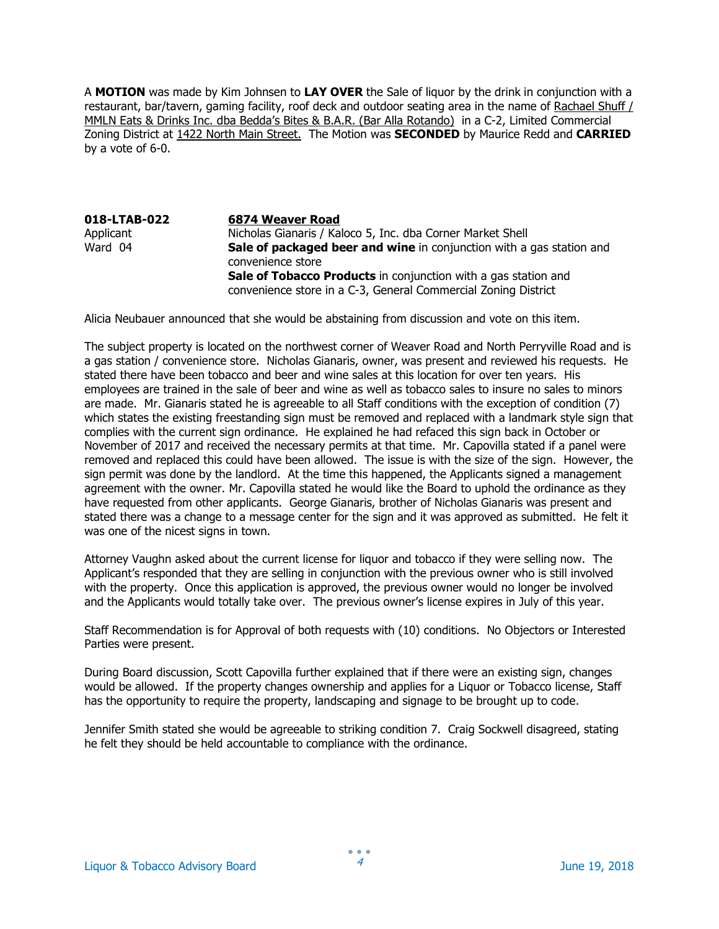A MOTION was made by Kim Johnsen to LAY OVER the Sale of liquor by the drink in conjunction with a restaurant, bar/tavern, gaming facility, roof deck and outdoor seating area in the name of Rachael Shuff / MMLN Eats & Drinks Inc. dba Bedda's Bites & B.A.R. (Bar Alla Rotando) in a C-2, Limited Commercial Zoning District at 1422 North Main Street. The Motion was SECONDED by Maurice Redd and CARRIED by a vote of 6-0.

018-LTAB-022 6874 Weaver Road Applicant Micholas Gianaris / Kaloco 5, Inc. dba Corner Market Shell<br>Ward 04 **Sale of packaged beer and wine** in conjunction with a Sale of packaged beer and wine in conjunction with a gas station and convenience store Sale of Tobacco Products in conjunction with a gas station and convenience store in a C-3, General Commercial Zoning District

Alicia Neubauer announced that she would be abstaining from discussion and vote on this item.

The subject property is located on the northwest corner of Weaver Road and North Perryville Road and is a gas station / convenience store. Nicholas Gianaris, owner, was present and reviewed his requests. He stated there have been tobacco and beer and wine sales at this location for over ten years. His employees are trained in the sale of beer and wine as well as tobacco sales to insure no sales to minors are made. Mr. Gianaris stated he is agreeable to all Staff conditions with the exception of condition (7) which states the existing freestanding sign must be removed and replaced with a landmark style sign that complies with the current sign ordinance. He explained he had refaced this sign back in October or November of 2017 and received the necessary permits at that time. Mr. Capovilla stated if a panel were removed and replaced this could have been allowed. The issue is with the size of the sign. However, the sign permit was done by the landlord. At the time this happened, the Applicants signed a management agreement with the owner. Mr. Capovilla stated he would like the Board to uphold the ordinance as they have requested from other applicants. George Gianaris, brother of Nicholas Gianaris was present and stated there was a change to a message center for the sign and it was approved as submitted. He felt it was one of the nicest signs in town.

Attorney Vaughn asked about the current license for liquor and tobacco if they were selling now. The Applicant's responded that they are selling in conjunction with the previous owner who is still involved with the property. Once this application is approved, the previous owner would no longer be involved and the Applicants would totally take over. The previous owner's license expires in July of this year.

Staff Recommendation is for Approval of both requests with (10) conditions. No Objectors or Interested Parties were present.

During Board discussion, Scott Capovilla further explained that if there were an existing sign, changes would be allowed. If the property changes ownership and applies for a Liquor or Tobacco license, Staff has the opportunity to require the property, landscaping and signage to be brought up to code.

Jennifer Smith stated she would be agreeable to striking condition 7. Craig Sockwell disagreed, stating he felt they should be held accountable to compliance with the ordinance.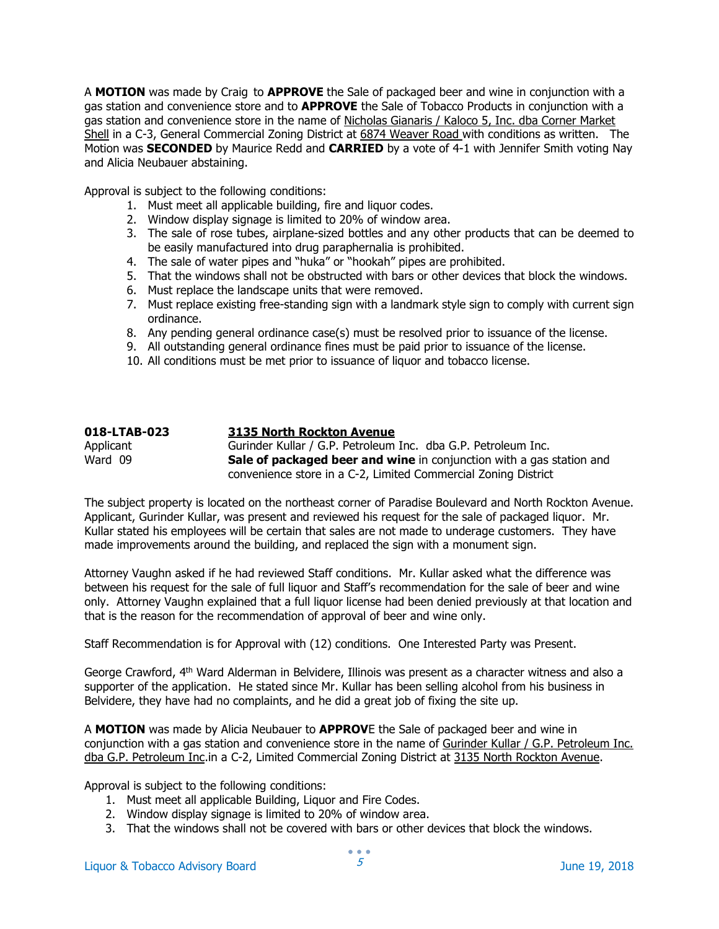A MOTION was made by Craig to APPROVE the Sale of packaged beer and wine in conjunction with a gas station and convenience store and to **APPROVE** the Sale of Tobacco Products in conjunction with a gas station and convenience store in the name of Nicholas Gianaris / Kaloco 5, Inc. dba Corner Market Shell in a C-3, General Commercial Zoning District at 6874 Weaver Road with conditions as written. The Motion was **SECONDED** by Maurice Redd and **CARRIED** by a vote of 4-1 with Jennifer Smith voting Nay and Alicia Neubauer abstaining.

Approval is subject to the following conditions:

- 1. Must meet all applicable building, fire and liquor codes.
- 2. Window display signage is limited to 20% of window area.
- 3. The sale of rose tubes, airplane-sized bottles and any other products that can be deemed to be easily manufactured into drug paraphernalia is prohibited.
- 4. The sale of water pipes and "huka" or "hookah" pipes are prohibited.
- 5. That the windows shall not be obstructed with bars or other devices that block the windows.
- 6. Must replace the landscape units that were removed.
- 7. Must replace existing free-standing sign with a landmark style sign to comply with current sign ordinance.
- 8. Any pending general ordinance case(s) must be resolved prior to issuance of the license.
- 9. All outstanding general ordinance fines must be paid prior to issuance of the license.
- 10. All conditions must be met prior to issuance of liquor and tobacco license.

| 018-LTAB-023 | 3135 North Rockton Avenue                                            |
|--------------|----------------------------------------------------------------------|
| Applicant    | Gurinder Kullar / G.P. Petroleum Inc. dba G.P. Petroleum Inc.        |
| Ward 09      | Sale of packaged beer and wine in conjunction with a gas station and |
|              | convenience store in a C-2, Limited Commercial Zoning District       |

The subject property is located on the northeast corner of Paradise Boulevard and North Rockton Avenue. Applicant, Gurinder Kullar, was present and reviewed his request for the sale of packaged liquor. Mr. Kullar stated his employees will be certain that sales are not made to underage customers. They have made improvements around the building, and replaced the sign with a monument sign.

Attorney Vaughn asked if he had reviewed Staff conditions. Mr. Kullar asked what the difference was between his request for the sale of full liquor and Staff's recommendation for the sale of beer and wine only. Attorney Vaughn explained that a full liquor license had been denied previously at that location and that is the reason for the recommendation of approval of beer and wine only.

Staff Recommendation is for Approval with (12) conditions. One Interested Party was Present.

George Crawford, 4th Ward Alderman in Belvidere, Illinois was present as a character witness and also a supporter of the application. He stated since Mr. Kullar has been selling alcohol from his business in Belvidere, they have had no complaints, and he did a great job of fixing the site up.

A MOTION was made by Alicia Neubauer to APPROVE the Sale of packaged beer and wine in conjunction with a gas station and convenience store in the name of Gurinder Kullar / G.P. Petroleum Inc. dba G.P. Petroleum Inc.in a C-2, Limited Commercial Zoning District at 3135 North Rockton Avenue.

Approval is subject to the following conditions:

- 1. Must meet all applicable Building, Liquor and Fire Codes.
- 2. Window display signage is limited to 20% of window area.
- 3. That the windows shall not be covered with bars or other devices that block the windows.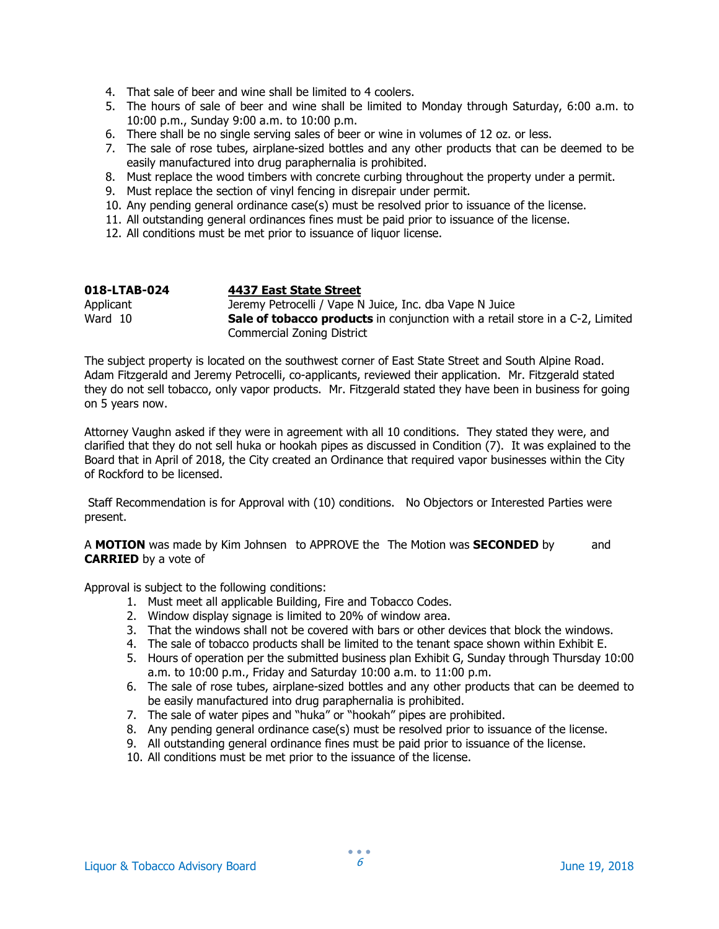- 4. That sale of beer and wine shall be limited to 4 coolers.
- 5. The hours of sale of beer and wine shall be limited to Monday through Saturday, 6:00 a.m. to 10:00 p.m., Sunday 9:00 a.m. to 10:00 p.m.
- 6. There shall be no single serving sales of beer or wine in volumes of 12 oz. or less.
- 7. The sale of rose tubes, airplane-sized bottles and any other products that can be deemed to be easily manufactured into drug paraphernalia is prohibited.
- 8. Must replace the wood timbers with concrete curbing throughout the property under a permit.
- 9. Must replace the section of vinyl fencing in disrepair under permit.
- 10. Any pending general ordinance case(s) must be resolved prior to issuance of the license.
- 11. All outstanding general ordinances fines must be paid prior to issuance of the license.
- 12. All conditions must be met prior to issuance of liquor license.

| 018-LTAB-024 | 4437 East State Street                                                               |
|--------------|--------------------------------------------------------------------------------------|
| Applicant    | Jeremy Petrocelli / Vape N Juice, Inc. dba Vape N Juice                              |
| Ward 10      | <b>Sale of tobacco products</b> in conjunction with a retail store in a C-2, Limited |
|              | Commercial Zoning District                                                           |

The subject property is located on the southwest corner of East State Street and South Alpine Road. Adam Fitzgerald and Jeremy Petrocelli, co-applicants, reviewed their application. Mr. Fitzgerald stated they do not sell tobacco, only vapor products. Mr. Fitzgerald stated they have been in business for going on 5 years now.

Attorney Vaughn asked if they were in agreement with all 10 conditions. They stated they were, and clarified that they do not sell huka or hookah pipes as discussed in Condition (7). It was explained to the Board that in April of 2018, the City created an Ordinance that required vapor businesses within the City of Rockford to be licensed.

 Staff Recommendation is for Approval with (10) conditions. No Objectors or Interested Parties were present.

A **MOTION** was made by Kim Johnsen to APPROVE the The Motion was **SECONDED** by and CARRIED by a vote of

Approval is subject to the following conditions:

- 1. Must meet all applicable Building, Fire and Tobacco Codes.
- 2. Window display signage is limited to 20% of window area.
- 3. That the windows shall not be covered with bars or other devices that block the windows.
- 4. The sale of tobacco products shall be limited to the tenant space shown within Exhibit E.
- 5. Hours of operation per the submitted business plan Exhibit G, Sunday through Thursday 10:00 a.m. to 10:00 p.m., Friday and Saturday 10:00 a.m. to 11:00 p.m.
- 6. The sale of rose tubes, airplane-sized bottles and any other products that can be deemed to be easily manufactured into drug paraphernalia is prohibited.
- 7. The sale of water pipes and "huka" or "hookah" pipes are prohibited.
- 8. Any pending general ordinance case(s) must be resolved prior to issuance of the license.
- 9. All outstanding general ordinance fines must be paid prior to issuance of the license.
- 10. All conditions must be met prior to the issuance of the license.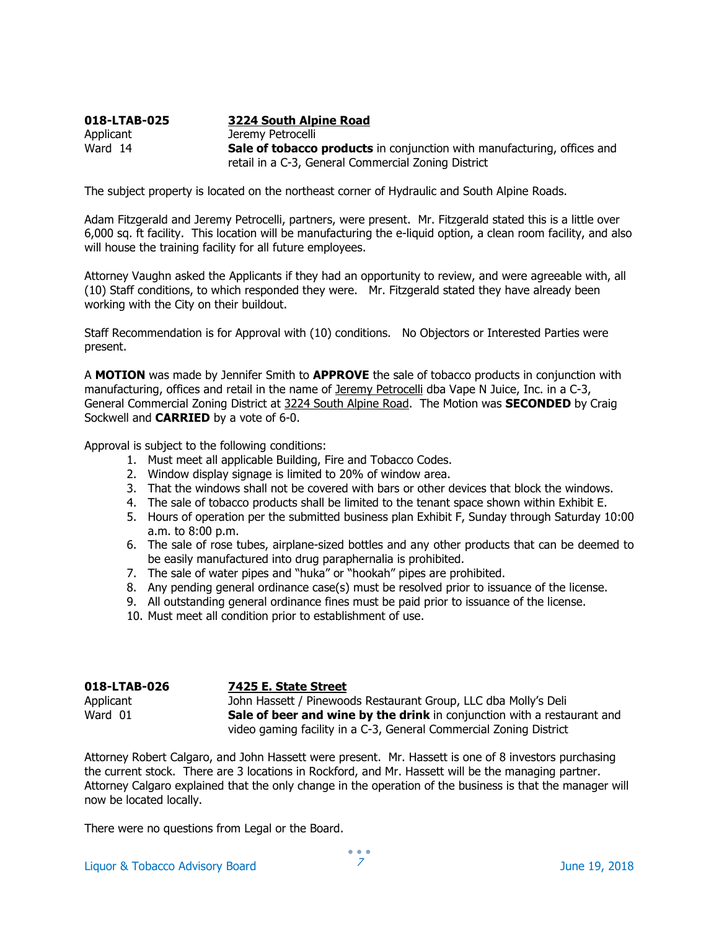### 018-LTAB-025 3224 South Alpine Road Applicant Jeremy Petrocelli Ward 14 **Sale of tobacco products** in conjunction with manufacturing, offices and retail in a C-3, General Commercial Zoning District

The subject property is located on the northeast corner of Hydraulic and South Alpine Roads.

Adam Fitzgerald and Jeremy Petrocelli, partners, were present. Mr. Fitzgerald stated this is a little over 6,000 sq. ft facility. This location will be manufacturing the e-liquid option, a clean room facility, and also will house the training facility for all future employees.

Attorney Vaughn asked the Applicants if they had an opportunity to review, and were agreeable with, all (10) Staff conditions, to which responded they were. Mr. Fitzgerald stated they have already been working with the City on their buildout.

Staff Recommendation is for Approval with (10) conditions. No Objectors or Interested Parties were present.

A MOTION was made by Jennifer Smith to APPROVE the sale of tobacco products in conjunction with manufacturing, offices and retail in the name of Jeremy Petrocelli dba Vape N Juice, Inc. in a C-3, General Commercial Zoning District at 3224 South Alpine Road. The Motion was **SECONDED** by Craig Sockwell and **CARRIED** by a vote of 6-0.

Approval is subject to the following conditions:

- 1. Must meet all applicable Building, Fire and Tobacco Codes.
- 2. Window display signage is limited to 20% of window area.
- 3. That the windows shall not be covered with bars or other devices that block the windows.
- 4. The sale of tobacco products shall be limited to the tenant space shown within Exhibit E.
- 5. Hours of operation per the submitted business plan Exhibit F, Sunday through Saturday 10:00 a.m. to 8:00 p.m.
- 6. The sale of rose tubes, airplane-sized bottles and any other products that can be deemed to be easily manufactured into drug paraphernalia is prohibited.
- 7. The sale of water pipes and "huka" or "hookah" pipes are prohibited.
- 8. Any pending general ordinance case(s) must be resolved prior to issuance of the license.
- 9. All outstanding general ordinance fines must be paid prior to issuance of the license.
- 10. Must meet all condition prior to establishment of use.

### 018-LTAB-026 7425 E. State Street

Applicant John Hassett / Pinewoods Restaurant Group, LLC dba Molly's Deli Ward  $01$  Sale of beer and wine by the drink in conjunction with a restaurant and video gaming facility in a C-3, General Commercial Zoning District

Attorney Robert Calgaro, and John Hassett were present. Mr. Hassett is one of 8 investors purchasing the current stock. There are 3 locations in Rockford, and Mr. Hassett will be the managing partner. Attorney Calgaro explained that the only change in the operation of the business is that the manager will now be located locally.

There were no questions from Legal or the Board.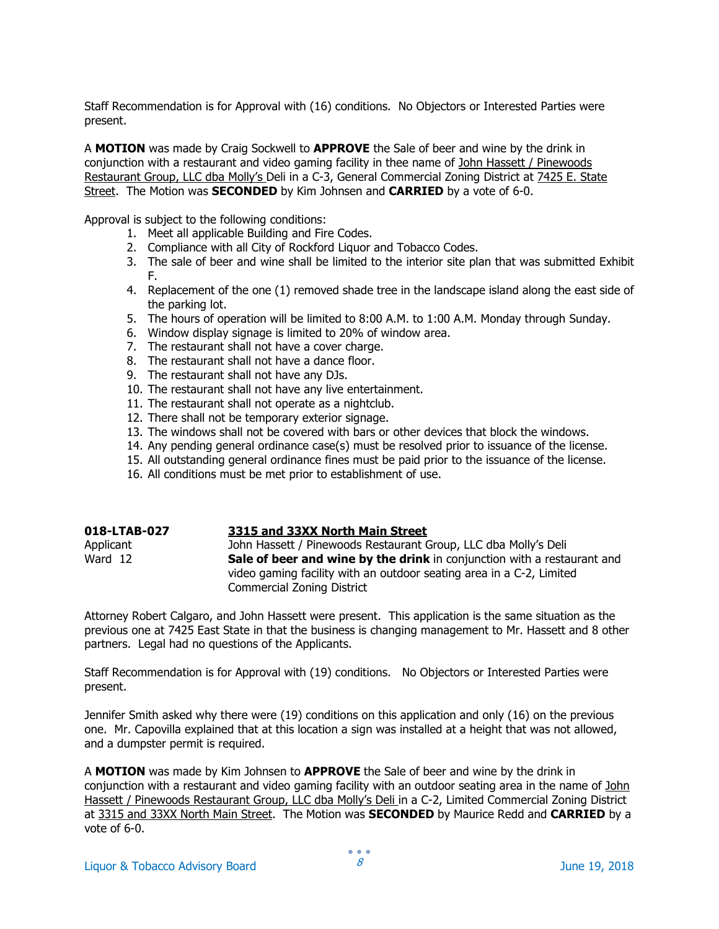Staff Recommendation is for Approval with (16) conditions. No Objectors or Interested Parties were present.

A MOTION was made by Craig Sockwell to APPROVE the Sale of beer and wine by the drink in conjunction with a restaurant and video gaming facility in thee name of John Hassett / Pinewoods Restaurant Group, LLC dba Molly's Deli in a C-3, General Commercial Zoning District at 7425 E. State Street. The Motion was **SECONDED** by Kim Johnsen and **CARRIED** by a vote of 6-0.

Approval is subject to the following conditions:

- 1. Meet all applicable Building and Fire Codes.
- 2. Compliance with all City of Rockford Liquor and Tobacco Codes.
- 3. The sale of beer and wine shall be limited to the interior site plan that was submitted Exhibit F.
- 4. Replacement of the one (1) removed shade tree in the landscape island along the east side of the parking lot.
- 5. The hours of operation will be limited to 8:00 A.M. to 1:00 A.M. Monday through Sunday.
- 6. Window display signage is limited to 20% of window area.
- 7. The restaurant shall not have a cover charge.
- 8. The restaurant shall not have a dance floor.
- 9. The restaurant shall not have any DJs.
- 10. The restaurant shall not have any live entertainment.
- 11. The restaurant shall not operate as a nightclub.
- 12. There shall not be temporary exterior signage.
- 13. The windows shall not be covered with bars or other devices that block the windows.
- 14. Any pending general ordinance case(s) must be resolved prior to issuance of the license.
- 15. All outstanding general ordinance fines must be paid prior to the issuance of the license.
- 16. All conditions must be met prior to establishment of use.

| 018-LTAB-027 | 3315 and 33XX North Main Street                                                                                                                                               |
|--------------|-------------------------------------------------------------------------------------------------------------------------------------------------------------------------------|
| Applicant    | John Hassett / Pinewoods Restaurant Group, LLC dba Molly's Deli                                                                                                               |
| Ward 12      | Sale of beer and wine by the drink in conjunction with a restaurant and<br>video gaming facility with an outdoor seating area in a C-2, Limited<br>Commercial Zoning District |

Attorney Robert Calgaro, and John Hassett were present. This application is the same situation as the previous one at 7425 East State in that the business is changing management to Mr. Hassett and 8 other partners. Legal had no questions of the Applicants.

Staff Recommendation is for Approval with (19) conditions. No Objectors or Interested Parties were present.

Jennifer Smith asked why there were (19) conditions on this application and only (16) on the previous one. Mr. Capovilla explained that at this location a sign was installed at a height that was not allowed, and a dumpster permit is required.

A MOTION was made by Kim Johnsen to APPROVE the Sale of beer and wine by the drink in conjunction with a restaurant and video gaming facility with an outdoor seating area in the name of John Hassett / Pinewoods Restaurant Group, LLC dba Molly's Deli in a C-2, Limited Commercial Zoning District at 3315 and 33XX North Main Street. The Motion was SECONDED by Maurice Redd and CARRIED by a vote of 6-0.